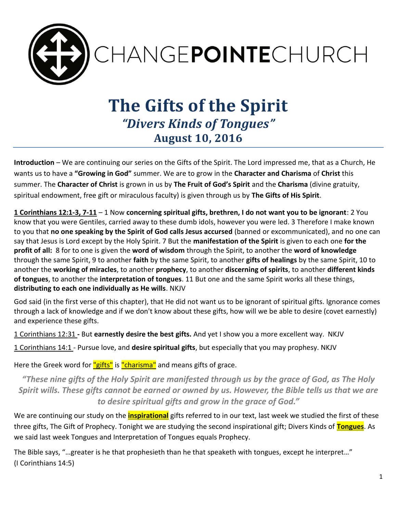

# **The Gifts of the Spirit** *"Divers Kinds of Tongues"* **August 10, 2016**

**Introduction** – We are continuing our series on the Gifts of the Spirit. The Lord impressed me, that as a Church, He wants us to have a **"Growing in God"** summer. We are to grow in the **Character and Charisma** of **Christ** this summer. The **Character of Christ** is grown in us by **The Fruit of God's Spirit** and the **Charisma** (divine gratuity, spiritual endowment, free gift or miraculous faculty) is given through us by **The Gifts of His Spirit**.

**1 Corinthians 12:1-3, 7-11** – 1 Now **concerning spiritual gifts, brethren, I do not want you to be ignorant**: 2 You know that you were Gentiles, carried away to these dumb idols, however you were led. 3 Therefore I make known to you that **no one speaking by the Spirit of God calls Jesus accursed** (banned or excommunicated), and no one can say that Jesus is Lord except by the Holy Spirit. 7 But the **manifestation of the Spirit** is given to each one **for the profit of all:** 8 for to one is given the **word of wisdom** through the Spirit, to another the **word of knowledge** through the same Spirit, 9 to another **faith** by the same Spirit, to another **gifts of healings** by the same Spirit, 10 to another the **working of miracles**, to another **prophecy**, to another **discerning of spirits**, to another **different kinds of tongues**, to another the **interpretation of tongues**. 11 But one and the same Spirit works all these things, **distributing to each one individually as He wills**. NKJV

God said (in the first verse of this chapter), that He did not want us to be ignorant of spiritual gifts. Ignorance comes through a lack of knowledge and if we don't know about these gifts, how will we be able to desire (covet earnestly) and experience these gifts.

1 Corinthians 12:31 **-** But **earnestly desire the best gifts.** And yet I show you a more excellent way. NKJV

1 Corinthians 14:1 - Pursue love, and **desire spiritual gifts**, but especially that you may prophesy. NKJV

Here the Greek word for "gifts" is "charisma" and means gifts of grace.

*"These nine gifts of the Holy Spirit are manifested through us by the grace of God, as The Holy Spirit wills. These gifts cannot be earned or owned by us. However, the Bible tells us that we are to desire spiritual gifts and grow in the grace of God."*

We are continuing our study on the **inspirational** gifts referred to in our text, last week we studied the first of these three gifts, The Gift of Prophecy. Tonight we are studying the second inspirational gift; Divers Kinds of **Tongues**. As we said last week Tongues and Interpretation of Tongues equals Prophecy.

The Bible says, "…greater is he that prophesieth than he that speaketh with tongues, except he interpret…" (I Corinthians 14:5)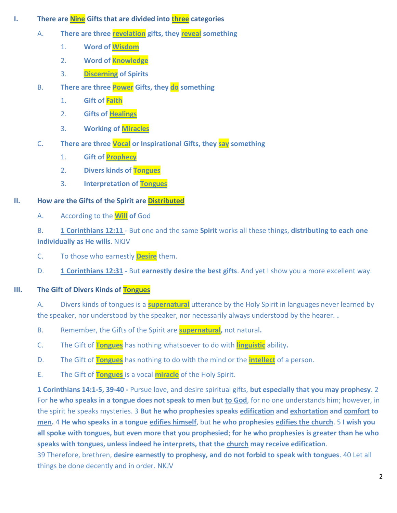- **I.** There are **Nine** Gifts that are divided into **three** categories
	- A. **There are three revelation gifts, they reveal something**
		- 1. **Word of Wisdom**
		- 2. **Word of Knowledge**
		- 3. **Discerning of Spirits**
	- B. **There are three Power Gifts, they do something** 
		- 1. **Gift of Faith**
		- 2. **Gifts of Healings**
		- 3. **Working of Miracles**
	- C. **There are three Vocal or Inspirational Gifts, they say something**
		- 1. **Gift of Prophecy**
		- 2. **Divers kinds of Tongues**
		- 3. **Interpretation of Tongues**

### **II. How are the Gifts of the Spirit are Distributed**

A. According to the **Will of** God

B. **1 Corinthians 12:11** - But one and the same **Spirit** works all these things, **distributing to each one individually as He wills**. NKJV

- C. To those who earnestly **Desire** them.
- D. **1 Corinthians 12:31 -** But **earnestly desire the best gifts**. And yet I show you a more excellent way.

## **III. The Gift of Divers Kinds of Tongues**

A. Divers kinds of tongues is a **supernatural** utterance by the Holy Spirit in languages never learned by the speaker, nor understood by the speaker, nor necessarily always understood by the hearer. **.** 

- B. Remember, the Gifts of the Spirit are **supernatural,** not natural**.**
- C. The Gift of **Tongues** has nothing whatsoever to do with **linguistic** ability**.**
- D. The Gift of **Tongues** has nothing to do with the mind or the **intellect** of a person.
- E. The Gift of **Tongues** is a vocal **miracle** of the Holy Spirit.

**1 Corinthians 14:1-5, 39-40 -** Pursue love, and desire spiritual gifts, **but especially that you may prophesy**. 2 For **he who speaks in a tongue does not speak to men but to God**, for no one understands him; however, in the spirit he speaks mysteries. 3 **But he who prophesies speaks edification and exhortation and comfort to men.** 4 **He who speaks in a tongue edifies himself**, but **he who prophesies edifies the church**. 5 **I wish you all spoke with tongues, but even more that you prophesied**; **for he who prophesies is greater than he who speaks with tongues, unless indeed he interprets, that the church may receive edification**.

39 Therefore, brethren, **desire earnestly to prophesy, and do not forbid to speak with tongues**. 40 Let all things be done decently and in order. NKJV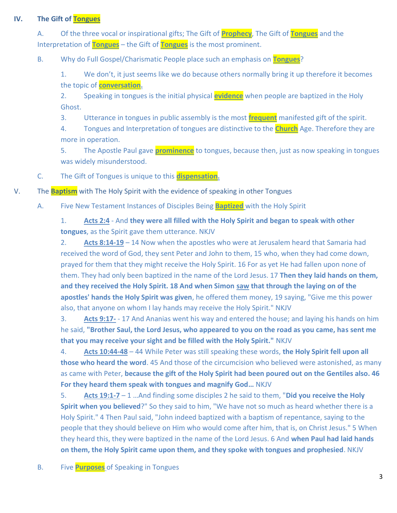#### **IV. The Gift of Tongues**

A. Of the three vocal or inspirational gifts; The Gift of **Prophecy**, The Gift of **Tongues** and the Interpretation of **Tongues** – the Gift of **Tongues** is the most prominent.

B. Why do Full Gospel/Charismatic People place such an emphasis on **Tongues**?

1. We don't, it just seems like we do because others normally bring it up therefore it becomes the topic of **conversation.**

2. Speaking in tongues is the initial physical **evidence** when people are baptized in the Holy Ghost.

3. Utterance in tongues in public assembly is the most **frequent** manifested gift of the spirit.

4. Tongues and Interpretation of tongues are distinctive to the **Church** Age. Therefore they are more in operation.

5. The Apostle Paul gave **prominence** to tongues, because then, just as now speaking in tongues was widely misunderstood.

C. The Gift of Tongues is unique to this **dispensation.** 

V. The **Baptism** with The Holy Spirit with the evidence of speaking in other Tongues

A. Five New Testament Instances of Disciples Being **Baptized** with the Holy Spirit

1. **Acts 2:4** - And **they were all filled with the Holy Spirit and began to speak with other tongues**, as the Spirit gave them utterance. NKJV

2. **Acts 8:14-19** – 14 Now when the apostles who were at Jerusalem heard that Samaria had received the word of God, they sent Peter and John to them, 15 who, when they had come down, prayed for them that they might receive the Holy Spirit. 16 For as yet He had fallen upon none of them. They had only been baptized in the name of the Lord Jesus. 17 **Then they laid hands on them, and they received the Holy Spirit. 18 And when Simon saw that through the laying on of the apostles' hands the Holy Spirit was given**, he offered them money, 19 saying, "Give me this power also, that anyone on whom I lay hands may receive the Holy Spirit." NKJV

3. **Acts 9:17-** - 17 And Ananias went his way and entered the house; and laying his hands on him he said, **"Brother Saul, the Lord Jesus, who appeared to you on the road as you came, has sent me that you may receive your sight and be filled with the Holy Spirit."** NKJV

4. **Acts 10:44-48** – 44 While Peter was still speaking these words, **the Holy Spirit fell upon all those who heard the word**. 45 And those of the circumcision who believed were astonished, as many as came with Peter, **because the gift of the Holy Spirit had been poured out on the Gentiles also. 46 For they heard them speak with tongues and magnify God…** NKJV

5. **Acts 19:1-7** – 1 …And finding some disciples 2 he said to them, "**Did you receive the Holy Spirit when you believed**?" So they said to him, "We have not so much as heard whether there is a Holy Spirit." 4 Then Paul said, "John indeed baptized with a baptism of repentance, saying to the people that they should believe on Him who would come after him, that is, on Christ Jesus." 5 When they heard this, they were baptized in the name of the Lord Jesus. 6 And **when Paul had laid hands on them, the Holy Spirit came upon them, and they spoke with tongues and prophesied**. NKJV

B. Five **Purposes** of Speaking in Tongues